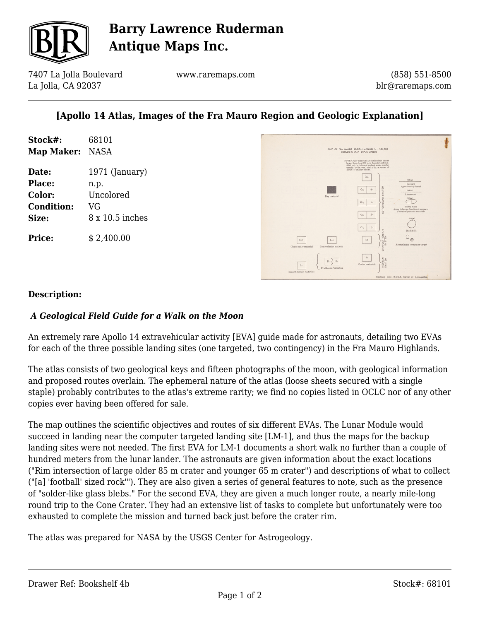

## **Barry Lawrence Ruderman Antique Maps Inc.**

7407 La Jolla Boulevard La Jolla, CA 92037

www.raremaps.com

(858) 551-8500 blr@raremaps.com

### **[Apollo 14 Atlas, Images of the Fra Mauro Region and Geologic Explanation]**

| Stock#:    | 68101 |
|------------|-------|
| Map Maker: | NASA  |

**Date:** 1971 (January) **Place:** n.p. **Color:** Uncolored **Condition:** VG

**Size:** 8 x 10.5 inches

**Price:**  $$ 2.400.00$ 



#### **Description:**

### *A Geological Field Guide for a Walk on the Moon*

An extremely rare Apollo 14 extravehicular activity [EVA] guide made for astronauts, detailing two EVAs for each of the three possible landing sites (one targeted, two contingency) in the Fra Mauro Highlands.

The atlas consists of two geological keys and fifteen photographs of the moon, with geological information and proposed routes overlain. The ephemeral nature of the atlas (loose sheets secured with a single staple) probably contributes to the atlas's extreme rarity; we find no copies listed in OCLC nor of any other copies ever having been offered for sale.

The map outlines the scientific objectives and routes of six different EVAs. The Lunar Module would succeed in landing near the computer targeted landing site [LM-1], and thus the maps for the backup landing sites were not needed. The first EVA for LM-1 documents a short walk no further than a couple of hundred meters from the lunar lander. The astronauts are given information about the exact locations ("Rim intersection of large older 85 m crater and younger 65 m crater") and descriptions of what to collect ("[a] 'football' sized rock'"). They are also given a series of general features to note, such as the presence of "solder-like glass blebs." For the second EVA, they are given a much longer route, a nearly mile-long round trip to the Cone Crater. They had an extensive list of tasks to complete but unfortunately were too exhausted to complete the mission and turned back just before the crater rim.

The atlas was prepared for NASA by the USGS Center for Astrogeology.